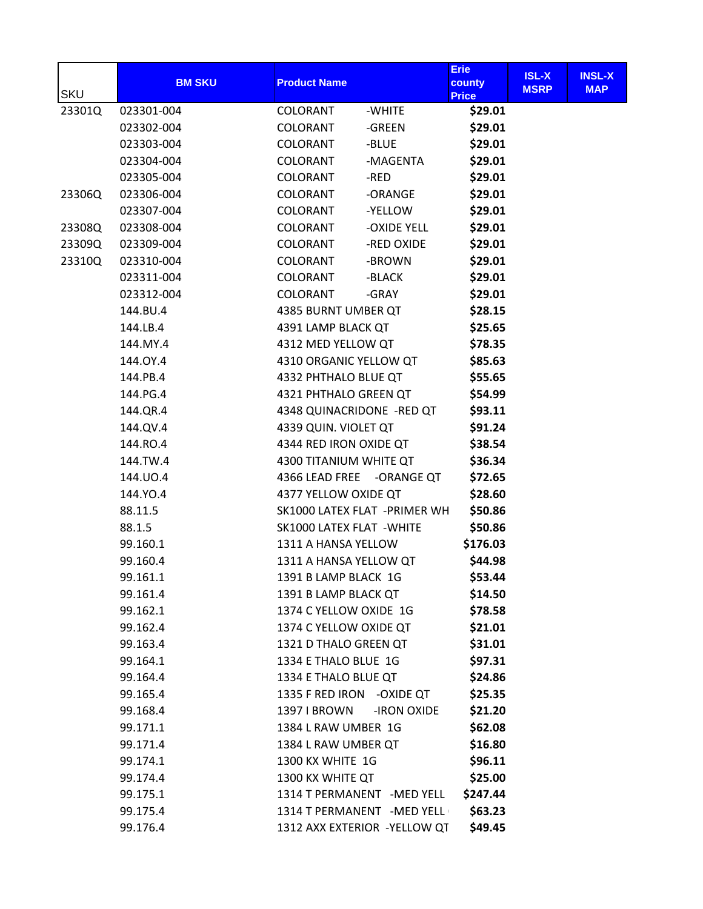| <b>SKU</b> | <b>BM SKU</b> | <b>Product Name</b>        |                               | <b>Erie</b><br>county<br><b>Price</b> | <b>ISL-X</b><br><b>MSRP</b> | <b>INSL-X</b><br><b>MAP</b> |
|------------|---------------|----------------------------|-------------------------------|---------------------------------------|-----------------------------|-----------------------------|
| 23301Q     | 023301-004    | COLORANT                   | -WHITE                        | \$29.01                               |                             |                             |
|            | 023302-004    | COLORANT                   | -GREEN                        | \$29.01                               |                             |                             |
|            | 023303-004    | <b>COLORANT</b>            | -BLUE                         | \$29.01                               |                             |                             |
|            | 023304-004    | COLORANT                   | -MAGENTA                      | \$29.01                               |                             |                             |
|            | 023305-004    | COLORANT                   | -RED                          | \$29.01                               |                             |                             |
| 23306Q     | 023306-004    | COLORANT                   | -ORANGE                       | \$29.01                               |                             |                             |
|            | 023307-004    | <b>COLORANT</b>            | -YELLOW                       | \$29.01                               |                             |                             |
| 23308Q     | 023308-004    | <b>COLORANT</b>            | -OXIDE YELL                   | \$29.01                               |                             |                             |
| 23309Q     | 023309-004    | COLORANT                   | -RED OXIDE                    | \$29.01                               |                             |                             |
| 23310Q     | 023310-004    | COLORANT                   | -BROWN                        | \$29.01                               |                             |                             |
|            | 023311-004    | COLORANT                   | -BLACK                        | \$29.01                               |                             |                             |
|            | 023312-004    | COLORANT                   | -GRAY                         | \$29.01                               |                             |                             |
|            | 144.BU.4      | 4385 BURNT UMBER QT        |                               | \$28.15                               |                             |                             |
|            | 144.LB.4      | 4391 LAMP BLACK QT         |                               | \$25.65                               |                             |                             |
|            | 144.MY.4      | 4312 MED YELLOW QT         |                               | \$78.35                               |                             |                             |
|            | 144.0Y.4      | 4310 ORGANIC YELLOW QT     |                               | \$85.63                               |                             |                             |
|            | 144.PB.4      | 4332 PHTHALO BLUE QT       |                               | \$55.65                               |                             |                             |
|            | 144.PG.4      | 4321 PHTHALO GREEN QT      |                               | \$54.99                               |                             |                             |
|            | 144.QR.4      | 4348 QUINACRIDONE -RED QT  |                               | \$93.11                               |                             |                             |
|            | 144.QV.4      | 4339 QUIN. VIOLET QT       |                               | \$91.24                               |                             |                             |
|            | 144.RO.4      | 4344 RED IRON OXIDE QT     |                               | \$38.54                               |                             |                             |
|            | 144.TW.4      | 4300 TITANIUM WHITE QT     |                               | \$36.34                               |                             |                             |
|            | 144.UO.4      |                            | 4366 LEAD FREE - ORANGE QT    | \$72.65                               |                             |                             |
|            | 144.YO.4      | 4377 YELLOW OXIDE QT       |                               | \$28.60                               |                             |                             |
|            | 88.11.5       |                            | SK1000 LATEX FLAT - PRIMER WH | \$50.86                               |                             |                             |
|            | 88.1.5        | SK1000 LATEX FLAT - WHITE  |                               | \$50.86                               |                             |                             |
|            | 99.160.1      | 1311 A HANSA YELLOW        |                               | \$176.03                              |                             |                             |
|            | 99.160.4      | 1311 A HANSA YELLOW QT     |                               | \$44.98                               |                             |                             |
|            | 99.161.1      | 1391 B LAMP BLACK 1G       |                               | \$53.44                               |                             |                             |
|            | 99.161.4      | 1391 B LAMP BLACK QT       |                               | \$14.50                               |                             |                             |
|            | 99.162.1      | 1374 C YELLOW OXIDE 1G     |                               | \$78.58                               |                             |                             |
|            | 99.162.4      | 1374 C YELLOW OXIDE QT     |                               | \$21.01                               |                             |                             |
|            | 99.163.4      | 1321 D THALO GREEN QT      |                               | \$31.01                               |                             |                             |
|            | 99.164.1      | 1334 E THALO BLUE 1G       |                               | \$97.31                               |                             |                             |
|            | 99.164.4      | 1334 E THALO BLUE QT       |                               | \$24.86                               |                             |                             |
|            | 99.165.4      | 1335 F RED IRON - OXIDE QT |                               | \$25.35                               |                             |                             |
|            | 99.168.4      | 1397 I BROWN               | -IRON OXIDE                   | \$21.20                               |                             |                             |
|            | 99.171.1      | 1384 L RAW UMBER 1G        |                               | \$62.08                               |                             |                             |
|            | 99.171.4      | 1384 L RAW UMBER QT        |                               | \$16.80                               |                             |                             |
|            | 99.174.1      | 1300 KX WHITE 1G           |                               | \$96.11                               |                             |                             |
|            | 99.174.4      | 1300 KX WHITE QT           |                               | \$25.00                               |                             |                             |
|            | 99.175.1      |                            | 1314 T PERMANENT - MED YELL   | \$247.44                              |                             |                             |
|            | 99.175.4      |                            | 1314 T PERMANENT - MED YELL   | \$63.23                               |                             |                             |
|            | 99.176.4      |                            | 1312 AXX EXTERIOR -YELLOW QT  | \$49.45                               |                             |                             |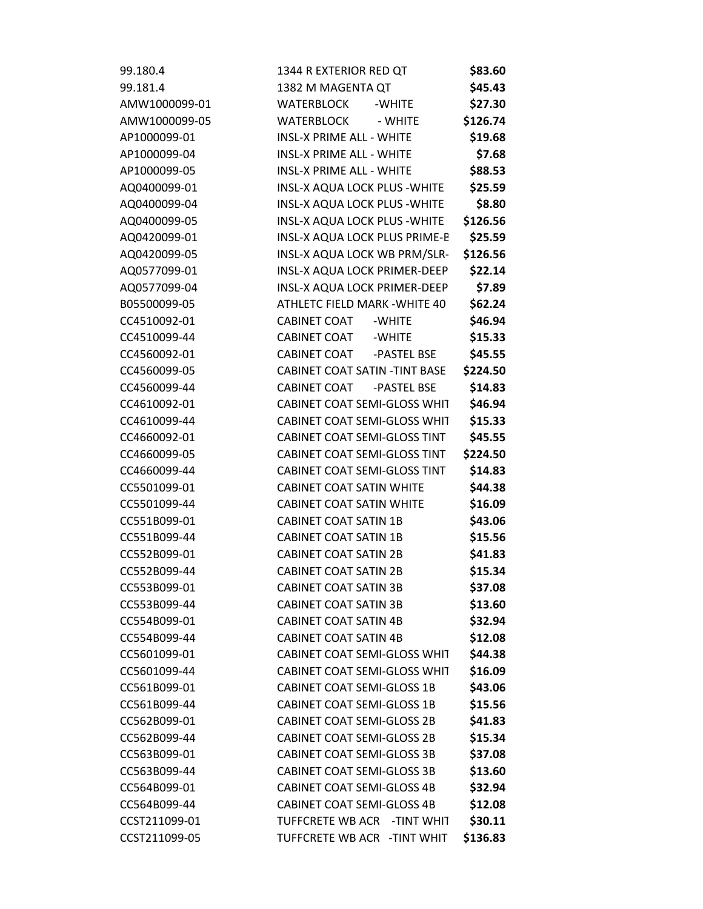| 99.180.4      | 1344 R EXTERIOR RED QT                |             | \$83.60  |
|---------------|---------------------------------------|-------------|----------|
| 99.181.4      | 1382 M MAGENTA QT                     |             | \$45.43  |
| AMW1000099-01 | <b>WATERBLOCK</b>                     | -WHITE      | \$27.30  |
| AMW1000099-05 | <b>WATERBLOCK</b>                     | - WHITE     | \$126.74 |
| AP1000099-01  | <b>INSL-X PRIME ALL - WHITE</b>       |             | \$19.68  |
| AP1000099-04  | <b>INSL-X PRIME ALL - WHITE</b>       |             | \$7.68   |
| AP1000099-05  | <b>INSL-X PRIME ALL - WHITE</b>       |             | \$88.53  |
| AQ0400099-01  | <b>INSL-X AQUA LOCK PLUS - WHITE</b>  |             | \$25.59  |
| AQ0400099-04  | <b>INSL-X AQUA LOCK PLUS - WHITE</b>  |             | \$8.80   |
| AQ0400099-05  | <b>INSL-X AQUA LOCK PLUS - WHITE</b>  |             | \$126.56 |
| AQ0420099-01  | INSL-X AQUA LOCK PLUS PRIME-B         |             | \$25.59  |
| AQ0420099-05  | INSL-X AQUA LOCK WB PRM/SLR-          |             | \$126.56 |
| AQ0577099-01  | INSL-X AQUA LOCK PRIMER-DEEP          |             | \$22.14  |
| AQ0577099-04  | INSL-X AQUA LOCK PRIMER-DEEP          |             | \$7.89   |
| B05500099-05  | ATHLETC FIELD MARK - WHITE 40         |             | \$62.24  |
| CC4510092-01  | CABINET COAT                          | -WHITE      | \$46.94  |
| CC4510099-44  | CABINET COAT                          | -WHITE      | \$15.33  |
| CC4560092-01  | <b>CABINET COAT</b>                   | -PASTEL BSE | \$45.55  |
| CC4560099-05  | <b>CABINET COAT SATIN - TINT BASE</b> |             | \$224.50 |
| CC4560099-44  | CABINET COAT                          | -PASTEL BSE | \$14.83  |
| CC4610092-01  | CABINET COAT SEMI-GLOSS WHIT          |             | \$46.94  |
| CC4610099-44  | CABINET COAT SEMI-GLOSS WHIT          |             | \$15.33  |
| CC4660092-01  | <b>CABINET COAT SEMI-GLOSS TINT</b>   |             | \$45.55  |
| CC4660099-05  | CABINET COAT SEMI-GLOSS TINT          |             | \$224.50 |
| CC4660099-44  | <b>CABINET COAT SEMI-GLOSS TINT</b>   |             | \$14.83  |
| CC5501099-01  | <b>CABINET COAT SATIN WHITE</b>       |             | \$44.38  |
| CC5501099-44  | <b>CABINET COAT SATIN WHITE</b>       |             | \$16.09  |
| CC551B099-01  | <b>CABINET COAT SATIN 1B</b>          |             | \$43.06  |
| CC551B099-44  | <b>CABINET COAT SATIN 1B</b>          |             | \$15.56  |
| CC552B099-01  | <b>CABINET COAT SATIN 2B</b>          |             | \$41.83  |
| CC552B099-44  | <b>CABINET COAT SATIN 2B</b>          |             | \$15.34  |
| CC553B099-01  | <b>CABINET COAT SATIN 3B</b>          |             | \$37.08  |
| CC553B099-44  | <b>CABINET COAT SATIN 3B</b>          |             | \$13.60  |
| CC554B099-01  | <b>CABINET COAT SATIN 4B</b>          |             | \$32.94  |
| CC554B099-44  | <b>CABINET COAT SATIN 4B</b>          |             | \$12.08  |
| CC5601099-01  | <b>CABINET COAT SEMI-GLOSS WHIT</b>   |             | \$44.38  |
| CC5601099-44  | <b>CABINET COAT SEMI-GLOSS WHIT</b>   |             | \$16.09  |
| CC561B099-01  | <b>CABINET COAT SEMI-GLOSS 1B</b>     |             | \$43.06  |
| CC561B099-44  | <b>CABINET COAT SEMI-GLOSS 1B</b>     |             | \$15.56  |
| CC562B099-01  | <b>CABINET COAT SEMI-GLOSS 2B</b>     |             | \$41.83  |
| CC562B099-44  | <b>CABINET COAT SEMI-GLOSS 2B</b>     |             | \$15.34  |
| CC563B099-01  | <b>CABINET COAT SEMI-GLOSS 3B</b>     |             | \$37.08  |
| CC563B099-44  | <b>CABINET COAT SEMI-GLOSS 3B</b>     |             | \$13.60  |
| CC564B099-01  | <b>CABINET COAT SEMI-GLOSS 4B</b>     |             | \$32.94  |
| CC564B099-44  | <b>CABINET COAT SEMI-GLOSS 4B</b>     |             | \$12.08  |
| CCST211099-01 | TUFFCRETE WB ACR - TINT WHIT          |             | \$30.11  |
| CCST211099-05 | TUFFCRETE WB ACR - TINT WHIT          |             | \$136.83 |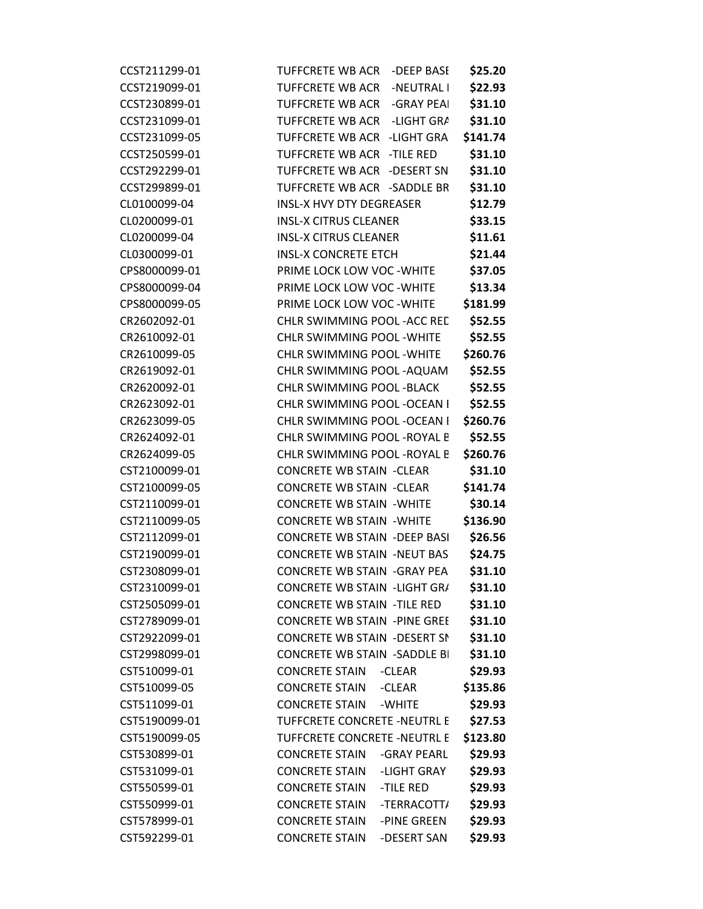| CCST211299-01 | <b>TUFFCRETE WB ACR</b><br>-DEEP BASE | \$25.20  |
|---------------|---------------------------------------|----------|
| CCST219099-01 | <b>TUFFCRETE WB ACR</b><br>-NEUTRAL I | \$22.93  |
| CCST230899-01 | TUFFCRETE WB ACR<br>-GRAY PEAI        | \$31.10  |
| CCST231099-01 | <b>TUFFCRETE WB ACR</b><br>-LIGHT GRA | \$31.10  |
| CCST231099-05 | <b>TUFFCRETE WB ACR</b><br>-LIGHT GRA | \$141.74 |
| CCST250599-01 | TUFFCRETE WB ACR -TILE RED            | \$31.10  |
| CCST292299-01 | <b>TUFFCRETE WB ACR</b><br>-DESERT SN | \$31.10  |
| CCST299899-01 | TUFFCRETE WB ACR -SADDLE BR           | \$31.10  |
| CL0100099-04  | <b>INSL-X HVY DTY DEGREASER</b>       | \$12.79  |
| CL0200099-01  | <b>INSL-X CITRUS CLEANER</b>          | \$33.15  |
| CL0200099-04  | <b>INSL-X CITRUS CLEANER</b>          | \$11.61  |
| CL0300099-01  | <b>INSL-X CONCRETE ETCH</b>           | \$21.44  |
| CPS8000099-01 | PRIME LOCK LOW VOC - WHITE            | \$37.05  |
| CPS8000099-04 | PRIME LOCK LOW VOC - WHITE            | \$13.34  |
| CPS8000099-05 | PRIME LOCK LOW VOC - WHITE            | \$181.99 |
| CR2602092-01  | CHLR SWIMMING POOL - ACC RED          | \$52.55  |
| CR2610092-01  | <b>CHLR SWIMMING POOL - WHITE</b>     | \$52.55  |
| CR2610099-05  | <b>CHLR SWIMMING POOL - WHITE</b>     | \$260.76 |
| CR2619092-01  | CHLR SWIMMING POOL - AQUAM            | \$52.55  |
| CR2620092-01  | <b>CHLR SWIMMING POOL -BLACK</b>      | \$52.55  |
| CR2623092-01  | CHLR SWIMMING POOL - OCEAN I          | \$52.55  |
| CR2623099-05  | CHLR SWIMMING POOL - OCEAN I          | \$260.76 |
| CR2624092-01  | CHLR SWIMMING POOL - ROYAL B          | \$52.55  |
| CR2624099-05  | CHLR SWIMMING POOL - ROYAL B          | \$260.76 |
| CST2100099-01 | <b>CONCRETE WB STAIN -CLEAR</b>       | \$31.10  |
| CST2100099-05 | <b>CONCRETE WB STAIN -CLEAR</b>       | \$141.74 |
| CST2110099-01 | <b>CONCRETE WB STAIN - WHITE</b>      | \$30.14  |
| CST2110099-05 | <b>CONCRETE WB STAIN - WHITE</b>      | \$136.90 |
| CST2112099-01 | <b>CONCRETE WB STAIN -DEEP BASI</b>   | \$26.56  |
| CST2190099-01 | <b>CONCRETE WB STAIN -NEUT BAS</b>    | \$24.75  |
| CST2308099-01 | <b>CONCRETE WB STAIN -GRAY PEA</b>    | \$31.10  |
| CST2310099-01 | <b>CONCRETE WB STAIN -LIGHT GR/</b>   | \$31.10  |
| CST2505099-01 | <b>CONCRETE WB STAIN -TILE RED</b>    | \$31.10  |
| CST2789099-01 | <b>CONCRETE WB STAIN -PINE GREE</b>   | \$31.10  |
| CST2922099-01 | <b>CONCRETE WB STAIN -DESERT SN</b>   | \$31.10  |
| CST2998099-01 | <b>CONCRETE WB STAIN -SADDLE BI</b>   | \$31.10  |
| CST510099-01  | <b>CONCRETE STAIN</b><br>-CLEAR       | \$29.93  |
| CST510099-05  | <b>CONCRETE STAIN</b><br>-CLEAR       | \$135.86 |
| CST511099-01  | <b>CONCRETE STAIN</b><br>-WHITE       | \$29.93  |
| CST5190099-01 | <b>TUFFCRETE CONCRETE -NEUTRL E</b>   | \$27.53  |
| CST5190099-05 | TUFFCRETE CONCRETE -NEUTRL E          | \$123.80 |
| CST530899-01  | <b>CONCRETE STAIN</b><br>-GRAY PEARL  | \$29.93  |
| CST531099-01  | <b>CONCRETE STAIN</b><br>-LIGHT GRAY  | \$29.93  |
| CST550599-01  | <b>CONCRETE STAIN</b><br>-TILE RED    | \$29.93  |
| CST550999-01  | <b>CONCRETE STAIN</b><br>-TERRACOTT/  | \$29.93  |
| CST578999-01  | <b>CONCRETE STAIN</b><br>-PINE GREEN  | \$29.93  |
| CST592299-01  | <b>CONCRETE STAIN</b><br>-DESERT SAN  | \$29.93  |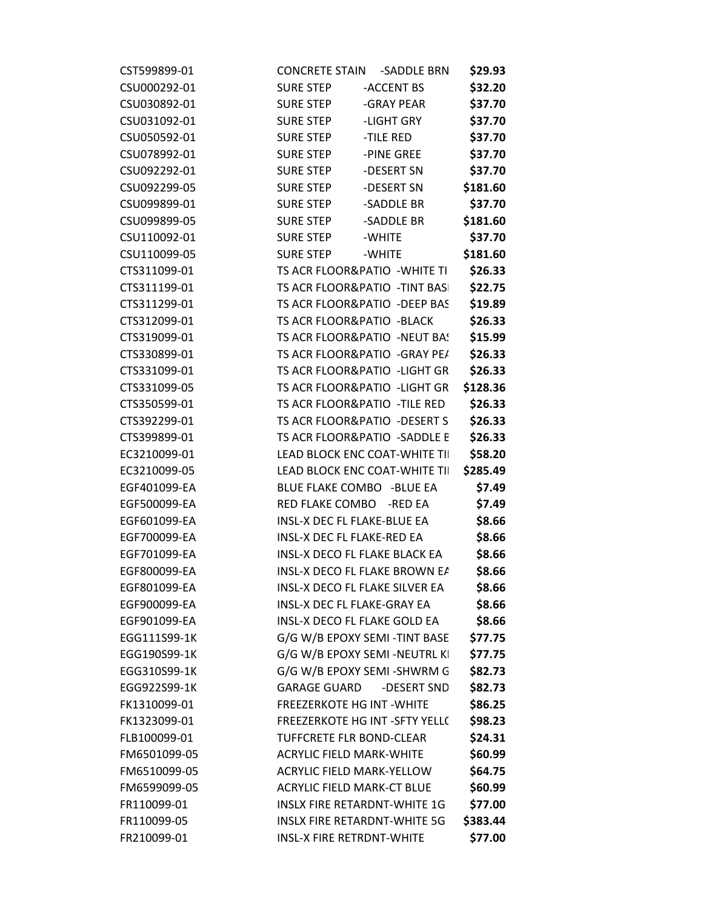| CST599899-01 | <b>CONCRETE STAIN</b>                | -SADDLE BRN                           | \$29.93  |
|--------------|--------------------------------------|---------------------------------------|----------|
| CSU000292-01 | <b>SURE STEP</b>                     | -ACCENT BS                            | \$32.20  |
| CSU030892-01 | <b>SURE STEP</b>                     | -GRAY PEAR                            | \$37.70  |
| CSU031092-01 | <b>SURE STEP</b>                     | -LIGHT GRY                            | \$37.70  |
| CSU050592-01 | <b>SURE STEP</b>                     | -TILE RED                             | \$37.70  |
| CSU078992-01 | <b>SURE STEP</b>                     | -PINE GREE                            | \$37.70  |
| CSU092292-01 | <b>SURE STEP</b>                     | -DESERT SN                            | \$37.70  |
| CSU092299-05 | <b>SURE STEP</b>                     | -DESERT SN                            | \$181.60 |
| CSU099899-01 | <b>SURE STEP</b>                     | -SADDLE BR                            | \$37.70  |
| CSU099899-05 | <b>SURE STEP</b>                     | -SADDLE BR                            | \$181.60 |
| CSU110092-01 | <b>SURE STEP</b>                     | -WHITE                                | \$37.70  |
| CSU110099-05 | <b>SURE STEP</b>                     | -WHITE                                | \$181.60 |
| CTS311099-01 |                                      | TS ACR FLOOR&PATIO - WHITE TI         | \$26.33  |
| CTS311199-01 |                                      | TS ACR FLOOR&PATIO - TINT BASI        | \$22.75  |
| CTS311299-01 |                                      | TS ACR FLOOR&PATIO -DEEP BAS          | \$19.89  |
| CTS312099-01 | TS ACR FLOOR&PATIO -BLACK            |                                       | \$26.33  |
| CTS319099-01 |                                      | TS ACR FLOOR&PATIO -NEUT BA!          | \$15.99  |
| CTS330899-01 |                                      | TS ACR FLOOR&PATIO - GRAY PE/         | \$26.33  |
| CTS331099-01 |                                      | TS ACR FLOOR&PATIO -LIGHT GR          | \$26.33  |
| CTS331099-05 |                                      | TS ACR FLOOR&PATIO -LIGHT GR          | \$128.36 |
| CTS350599-01 | TS ACR FLOOR&PATIO - TILE RED        |                                       | \$26.33  |
| CTS392299-01 |                                      | TS ACR FLOOR&PATIO -DESERT S          | \$26.33  |
| CTS399899-01 |                                      | TS ACR FLOOR&PATIO -SADDLE E          | \$26.33  |
| EC3210099-01 |                                      | LEAD BLOCK ENC COAT-WHITE TII         | \$58.20  |
| EC3210099-05 |                                      | LEAD BLOCK ENC COAT-WHITE TII         | \$285.49 |
| EGF401099-EA | BLUE FLAKE COMBO -BLUE EA            |                                       | \$7.49   |
| EGF500099-EA | RED FLAKE COMBO -RED EA              |                                       | \$7.49   |
| EGF601099-EA | INSL-X DEC FL FLAKE-BLUE EA          |                                       | \$8.66   |
| EGF700099-EA | INSL-X DEC FL FLAKE-RED EA           |                                       | \$8.66   |
| EGF701099-EA | <b>INSL-X DECO FL FLAKE BLACK EA</b> |                                       | \$8.66   |
| EGF800099-EA |                                      | INSL-X DECO FL FLAKE BROWN EA         | \$8.66   |
| EGF801099-EA |                                      | <b>INSL-X DECO FL FLAKE SILVER EA</b> | \$8.66   |
| EGF900099-EA | <b>INSL-X DEC FL FLAKE-GRAY EA</b>   |                                       | \$8.66   |
| EGF901099-EA | INSL-X DECO FL FLAKE GOLD EA         |                                       | \$8.66   |
| EGG111S99-1K |                                      | G/G W/B EPOXY SEMI-TINT BASE          | \$77.75  |
| EGG190S99-1K |                                      | G/G W/B EPOXY SEMI -NEUTRL KI         | \$77.75  |
| EGG310S99-1K |                                      | G/G W/B EPOXY SEMI-SHWRM G            | \$82.73  |
| EGG922S99-1K | <b>GARAGE GUARD</b>                  | -DESERT SND                           | \$82.73  |
| FK1310099-01 | <b>FREEZERKOTE HG INT - WHITE</b>    |                                       | \$86.25  |
| FK1323099-01 |                                      | FREEZERKOTE HG INT -SFTY YELL(        | \$98.23  |
| FLB100099-01 | TUFFCRETE FLR BOND-CLEAR             |                                       | \$24.31  |
| FM6501099-05 | <b>ACRYLIC FIELD MARK-WHITE</b>      |                                       | \$60.99  |
| FM6510099-05 | <b>ACRYLIC FIELD MARK-YELLOW</b>     |                                       | \$64.75  |
| FM6599099-05 | <b>ACRYLIC FIELD MARK-CT BLUE</b>    |                                       | \$60.99  |
| FR110099-01  |                                      | <b>INSLX FIRE RETARDNT-WHITE 1G</b>   | \$77.00  |
| FR110099-05  |                                      | <b>INSLX FIRE RETARDNT-WHITE 5G</b>   | \$383.44 |
| FR210099-01  | <b>INSL-X FIRE RETRDNT-WHITE</b>     |                                       | \$77.00  |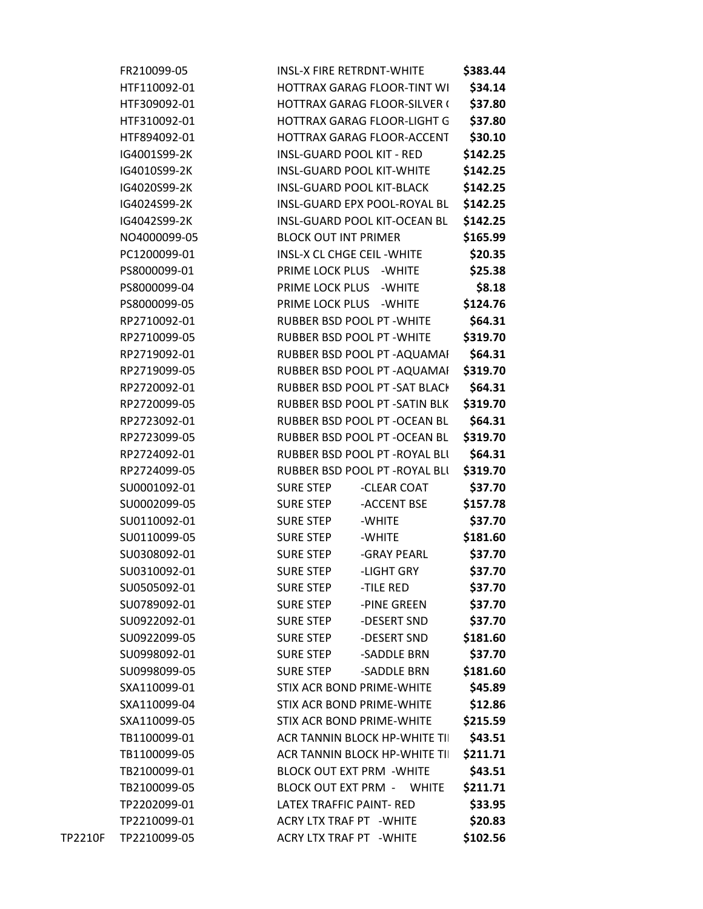|         | FR210099-05  | <b>INSL-X FIRE RETRDNT-WHITE</b>     | \$383.44 |
|---------|--------------|--------------------------------------|----------|
|         | HTF110092-01 | <b>HOTTRAX GARAG FLOOR-TINT WI</b>   | \$34.14  |
|         | HTF309092-01 | <b>HOTTRAX GARAG FLOOR-SILVER (</b>  | \$37.80  |
|         | HTF310092-01 | HOTTRAX GARAG FLOOR-LIGHT G          | \$37.80  |
|         | HTF894092-01 | HOTTRAX GARAG FLOOR-ACCENT           | \$30.10  |
|         | IG4001S99-2K | <b>INSL-GUARD POOL KIT - RED</b>     | \$142.25 |
|         | IG4010S99-2K | <b>INSL-GUARD POOL KIT-WHITE</b>     | \$142.25 |
|         | IG4020S99-2K | <b>INSL-GUARD POOL KIT-BLACK</b>     | \$142.25 |
|         | IG4024S99-2K | INSL-GUARD EPX POOL-ROYAL BL         | \$142.25 |
|         | IG4042S99-2K | INSL-GUARD POOL KIT-OCEAN BL         | \$142.25 |
|         | NO4000099-05 | <b>BLOCK OUT INT PRIMER</b>          | \$165.99 |
|         | PC1200099-01 | INSL-X CL CHGE CEIL - WHITE          | \$20.35  |
|         | PS8000099-01 | PRIME LOCK PLUS - WHITE              | \$25.38  |
|         | PS8000099-04 | PRIME LOCK PLUS<br>-WHITE            | \$8.18   |
|         | PS8000099-05 | PRIME LOCK PLUS<br>-WHITE            | \$124.76 |
|         | RP2710092-01 | RUBBER BSD POOL PT - WHITE           | \$64.31  |
|         | RP2710099-05 | RUBBER BSD POOL PT - WHITE           | \$319.70 |
|         | RP2719092-01 | RUBBER BSD POOL PT - AQUAMAI         | \$64.31  |
|         | RP2719099-05 | RUBBER BSD POOL PT - AQUAMAI         | \$319.70 |
|         | RP2720092-01 | RUBBER BSD POOL PT - SAT BLACK       | \$64.31  |
|         | RP2720099-05 | RUBBER BSD POOL PT - SATIN BLK       | \$319.70 |
|         | RP2723092-01 | RUBBER BSD POOL PT - OCEAN BL        | \$64.31  |
|         | RP2723099-05 | RUBBER BSD POOL PT - OCEAN BL        | \$319.70 |
|         | RP2724092-01 | RUBBER BSD POOL PT - ROYAL BLI       | \$64.31  |
|         | RP2724099-05 | RUBBER BSD POOL PT - ROYAL BLI       | \$319.70 |
|         | SU0001092-01 | <b>SURE STEP</b><br>-CLEAR COAT      | \$37.70  |
|         | SU0002099-05 | -ACCENT BSE<br><b>SURE STEP</b>      | \$157.78 |
|         | SU0110092-01 | <b>SURE STEP</b><br>-WHITE           | \$37.70  |
|         | SU0110099-05 | <b>SURE STEP</b><br>-WHITE           | \$181.60 |
|         | SU0308092-01 | <b>SURE STEP</b><br>-GRAY PEARL      | \$37.70  |
|         | SU0310092-01 | <b>SURE STEP</b><br>-LIGHT GRY       | \$37.70  |
|         | SU0505092-01 | <b>SURE STEP</b><br>-TILE RED        | \$37.70  |
|         | SU0789092-01 | -PINE GREEN<br><b>SURE STEP</b>      | \$37.70  |
|         | SU0922092-01 | <b>SURE STEP</b><br>-DESERT SND      | \$37.70  |
|         | SU0922099-05 | <b>SURE STEP</b><br>-DESERT SND      | \$181.60 |
|         | SU0998092-01 | <b>SURE STEP</b><br>-SADDLE BRN      | \$37.70  |
|         | SU0998099-05 | <b>SURE STEP</b><br>-SADDLE BRN      | \$181.60 |
|         | SXA110099-01 | <b>STIX ACR BOND PRIME-WHITE</b>     | \$45.89  |
|         | SXA110099-04 | <b>STIX ACR BOND PRIME-WHITE</b>     | \$12.86  |
|         | SXA110099-05 | <b>STIX ACR BOND PRIME-WHITE</b>     | \$215.59 |
|         | TB1100099-01 | <b>ACR TANNIN BLOCK HP-WHITE TII</b> | \$43.51  |
|         | TB1100099-05 | <b>ACR TANNIN BLOCK HP-WHITE TII</b> | \$211.71 |
|         | TB2100099-01 | <b>BLOCK OUT EXT PRM - WHITE</b>     | \$43.51  |
|         | TB2100099-05 | <b>BLOCK OUT EXT PRM - WHITE</b>     | \$211.71 |
|         | TP2202099-01 | LATEX TRAFFIC PAINT- RED             | \$33.95  |
|         | TP2210099-01 | ACRY LTX TRAF PT - WHITE             | \$20.83  |
| TP2210F | TP2210099-05 | <b>ACRY LTX TRAF PT - WHITE</b>      | \$102.56 |